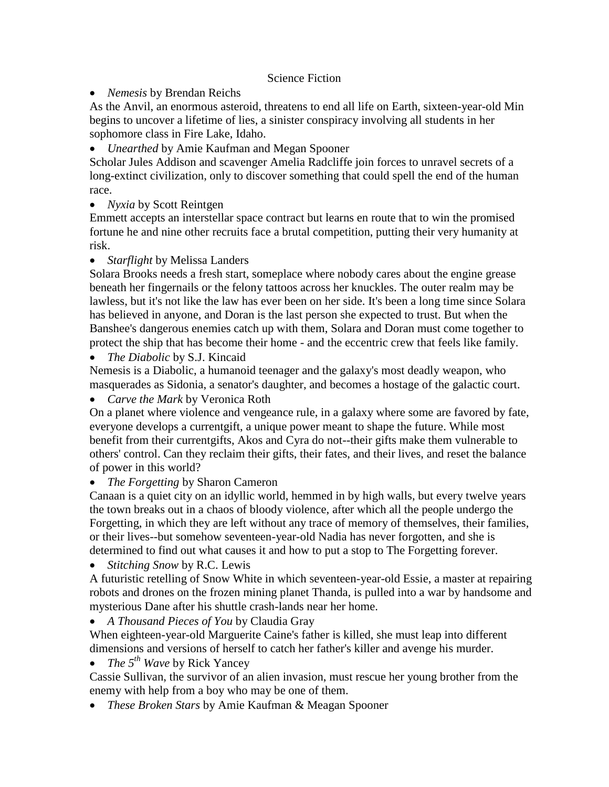## Science Fiction

*Nemesis* by Brendan Reichs

As the Anvil, an enormous asteroid, threatens to end all life on Earth, sixteen-year-old Min begins to uncover a lifetime of lies, a sinister conspiracy involving all students in her sophomore class in Fire Lake, Idaho.

*Unearthed* by Amie Kaufman and Megan Spooner

Scholar Jules Addison and scavenger Amelia Radcliffe join forces to unravel secrets of a long-extinct civilization, only to discover something that could spell the end of the human race.

• *Nyxia* by Scott Reintgen

Emmett accepts an interstellar space contract but learns en route that to win the promised fortune he and nine other recruits face a brutal competition, putting their very humanity at risk.

*Starflight* by Melissa Landers

Solara Brooks needs a fresh start, someplace where nobody cares about the engine grease beneath her fingernails or the felony tattoos across her knuckles. The outer realm may be lawless, but it's not like the law has ever been on her side. It's been a long time since Solara has believed in anyone, and Doran is the last person she expected to trust. But when the Banshee's dangerous enemies catch up with them, Solara and Doran must come together to protect the ship that has become their home - and the eccentric crew that feels like family.

*The Diabolic* by S.J. Kincaid

Nemesis is a Diabolic, a humanoid teenager and the galaxy's most deadly weapon, who masquerades as Sidonia, a senator's daughter, and becomes a hostage of the galactic court.

*Carve the Mark* by Veronica Roth

On a planet where violence and vengeance rule, in a galaxy where some are favored by fate, everyone develops a currentgift, a unique power meant to shape the future. While most benefit from their currentgifts, Akos and Cyra do not--their gifts make them vulnerable to others' control. Can they reclaim their gifts, their fates, and their lives, and reset the balance of power in this world?

*The Forgetting* by Sharon Cameron

Canaan is a quiet city on an idyllic world, hemmed in by high walls, but every twelve years the town breaks out in a chaos of bloody violence, after which all the people undergo the Forgetting, in which they are left without any trace of memory of themselves, their families, or their lives--but somehow seventeen-year-old Nadia has never forgotten, and she is determined to find out what causes it and how to put a stop to The Forgetting forever.

*Stitching Snow* by R.C. Lewis

A futuristic retelling of Snow White in which seventeen-year-old Essie, a master at repairing robots and drones on the frozen mining planet Thanda, is pulled into a war by handsome and mysterious Dane after his shuttle crash-lands near her home.

*A Thousand Pieces of You* by Claudia Gray

When eighteen-year-old Marguerite Caine's father is killed, she must leap into different dimensions and versions of herself to catch her father's killer and avenge his murder.

*The 5th Wave* by Rick Yancey

Cassie Sullivan, the survivor of an alien invasion, must rescue her young brother from the enemy with help from a boy who may be one of them.

*These Broken Stars* by Amie Kaufman & Meagan Spooner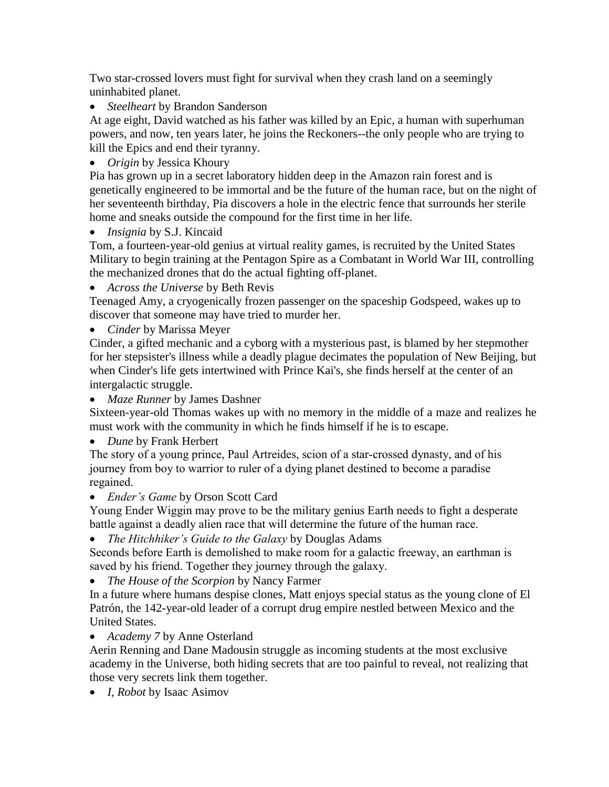Two star-crossed lovers must fight for survival when they crash land on a seemingly uninhabited planet.

*Steelheart* by Brandon Sanderson

At age eight, David watched as his father was killed by an Epic, a human with superhuman powers, and now, ten years later, he joins the Reckoners--the only people who are trying to kill the Epics and end their tyranny.

*Origin* by Jessica Khoury

Pia has grown up in a secret laboratory hidden deep in the Amazon rain forest and is genetically engineered to be immortal and be the future of the human race, but on the night of her seventeenth birthday, Pia discovers a hole in the electric fence that surrounds her sterile home and sneaks outside the compound for the first time in her life.

*Insignia* by S.J. Kincaid

Tom, a fourteen-year-old genius at virtual reality games, is recruited by the United States Military to begin training at the Pentagon Spire as a Combatant in World War III, controlling the mechanized drones that do the actual fighting off-planet.

*Across the Universe* by Beth Revis

Teenaged Amy, a cryogenically frozen passenger on the spaceship Godspeed, wakes up to discover that someone may have tried to murder her.

*Cinder* by Marissa Meyer

Cinder, a gifted mechanic and a cyborg with a mysterious past, is blamed by her stepmother for her stepsister's illness while a deadly plague decimates the population of New Beijing, but when Cinder's life gets intertwined with Prince Kai's, she finds herself at the center of an intergalactic struggle.

*Maze Runner* by James Dashner

Sixteen-year-old Thomas wakes up with no memory in the middle of a maze and realizes he must work with the community in which he finds himself if he is to escape.

*Dune* by Frank Herbert

The story of a young prince, Paul Artreides, scion of a star-crossed dynasty, and of his journey from boy to warrior to ruler of a dying planet destined to become a paradise regained.

*Ender's Game* by Orson Scott Card

Young Ender Wiggin may prove to be the military genius Earth needs to fight a desperate battle against a deadly alien race that will determine the future of the human race.

*The Hitchhiker's Guide to the Galaxy* by Douglas Adams

Seconds before Earth is demolished to make room for a galactic freeway, an earthman is saved by his friend. Together they journey through the galaxy.

*The House of the Scorpion* by Nancy Farmer

In a future where humans despise clones, Matt enjoys special status as the young clone of El Patrón, the 142-year-old leader of a corrupt drug empire nestled between Mexico and the United States.

*Academy 7* by Anne Osterland

Aerin Renning and Dane Madousin struggle as incoming students at the most exclusive academy in the Universe, both hiding secrets that are too painful to reveal, not realizing that those very secrets link them together.

*I, Robot* by Isaac Asimov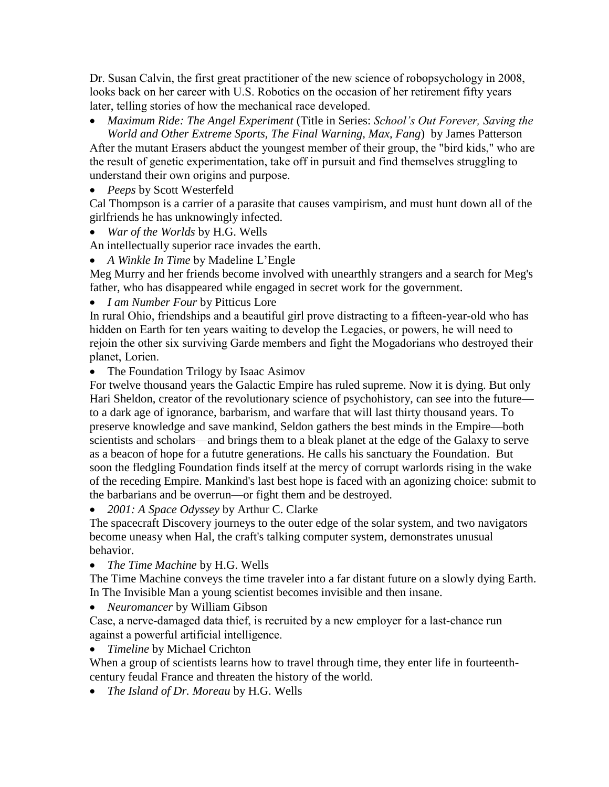Dr. Susan Calvin, the first great practitioner of the new science of robopsychology in 2008, looks back on her career with U.S. Robotics on the occasion of her retirement fifty years later, telling stories of how the mechanical race developed.

 *Maximum Ride: The Angel Experiment* (Title in Series: *School's Out Forever, Saving the World and Other Extreme Sports, The Final Warning, Max, Fang*) by James Patterson

After the mutant Erasers abduct the youngest member of their group, the "bird kids," who are the result of genetic experimentation, take off in pursuit and find themselves struggling to understand their own origins and purpose.

*Peeps* by Scott Westerfeld

Cal Thompson is a carrier of a parasite that causes vampirism, and must hunt down all of the girlfriends he has unknowingly infected.

*War of the Worlds* by H.G. Wells

An intellectually superior race invades the earth.

*A Winkle In Time* by Madeline L'Engle

Meg Murry and her friends become involved with unearthly strangers and a search for Meg's father, who has disappeared while engaged in secret work for the government.

*I am Number Four* by Pitticus Lore

In rural Ohio, friendships and a beautiful girl prove distracting to a fifteen-year-old who has hidden on Earth for ten years waiting to develop the Legacies, or powers, he will need to rejoin the other six surviving Garde members and fight the Mogadorians who destroyed their planet, Lorien.

• The Foundation Trilogy by Isaac Asimov

For twelve thousand years the Galactic Empire has ruled supreme. Now it is dying. But only Hari Sheldon, creator of the revolutionary science of psychohistory, can see into the future to a dark age of ignorance, barbarism, and warfare that will last thirty thousand years. To preserve knowledge and save mankind, Seldon gathers the best minds in the Empire—both scientists and scholars—and brings them to a bleak planet at the edge of the Galaxy to serve as a beacon of hope for a fututre generations. He calls his sanctuary the Foundation. But soon the fledgling Foundation finds itself at the mercy of corrupt warlords rising in the wake of the receding Empire. Mankind's last best hope is faced with an agonizing choice: submit to the barbarians and be overrun—or fight them and be destroyed.

*2001: A Space Odyssey* by Arthur C. Clarke

The spacecraft Discovery journeys to the outer edge of the solar system, and two navigators become uneasy when Hal, the craft's talking computer system, demonstrates unusual behavior.

*The Time Machine* by H.G. Wells

The Time Machine conveys the time traveler into a far distant future on a slowly dying Earth. In The Invisible Man a young scientist becomes invisible and then insane.

*Neuromancer* by William Gibson

Case, a nerve-damaged data thief, is recruited by a new employer for a last-chance run against a powerful artificial intelligence.

*Timeline* by Michael Crichton

When a group of scientists learns how to travel through time, they enter life in fourteenthcentury feudal France and threaten the history of the world.

*The Island of Dr. Moreau* by H.G. Wells